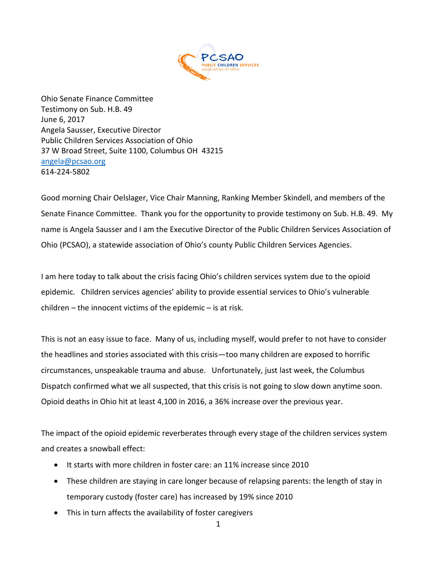

Ohio Senate Finance Committee Testimony on Sub. H.B. 49 June 6, 2017 Angela Sausser, Executive Director Public Children Services Association of Ohio 37 W Broad Street, Suite 1100, Columbus OH 43215 [angela@pcsao.org](mailto:angela@pcsao.org)  614-224-5802

Good morning Chair Oelslager, Vice Chair Manning, Ranking Member Skindell, and members of the Senate Finance Committee. Thank you for the opportunity to provide testimony on Sub. H.B. 49. My name is Angela Sausser and I am the Executive Director of the Public Children Services Association of Ohio (PCSAO), a statewide association of Ohio's county Public Children Services Agencies.

I am here today to talk about the crisis facing Ohio's children services system due to the opioid epidemic. Children services agencies' ability to provide essential services to Ohio's vulnerable children – the innocent victims of the epidemic – is at risk.

This is not an easy issue to face. Many of us, including myself, would prefer to not have to consider the headlines and stories associated with this crisis—too many children are exposed to horrific circumstances, unspeakable trauma and abuse. Unfortunately, just last week, the Columbus Dispatch confirmed what we all suspected, that this crisis is not going to slow down anytime soon. Opioid deaths in Ohio hit at least 4,100 in 2016, a 36% increase over the previous year.

The impact of the opioid epidemic reverberates through every stage of the children services system and creates a snowball effect:

- It starts with more children in foster care: an 11% increase since 2010
- These children are staying in care longer because of relapsing parents: the length of stay in temporary custody (foster care) has increased by 19% since 2010
- This in turn affects the availability of foster caregivers